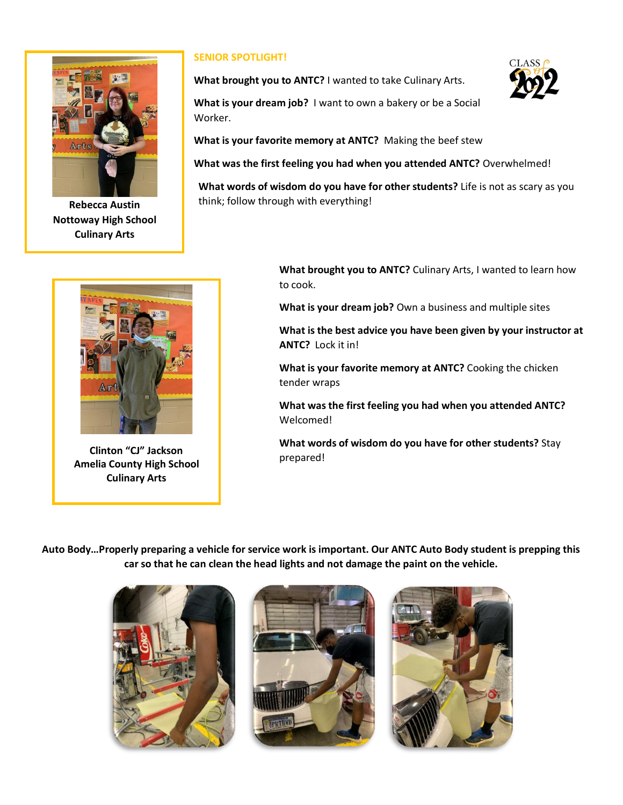

**Rebecca Austin Nottoway High School Culinary Arts**



**Clinton "CJ" Jackson Amelia County High School Culinary Arts**

## **SENIOR SPOTLIGHT!**

**What brought you to ANTC?** I wanted to take Culinary Arts.

**What is your dream job?** I want to own a bakery or be a Social Worker.

**What is your favorite memory at ANTC?** Making the beef stew

**What was the first feeling you had when you attended ANTC?** Overwhelmed!

**What words of wisdom do you have for other students?** Life is not as scary as you think; follow through with everything!

> **What brought you to ANTC?** Culinary Arts, I wanted to learn how to cook.

**What is your dream job?** Own a business and multiple sites

**What is the best advice you have been given by your instructor at ANTC?** Lock it in!

**What is your favorite memory at ANTC?** Cooking the chicken tender wraps

**What was the first feeling you had when you attended ANTC?**  Welcomed!

**What words of wisdom do you have for other students?** Stay prepared!

**Auto Body…Properly preparing a vehicle for service work is important. Our ANTC Auto Body student is prepping this car so that he can clean the head lights and not damage the paint on the vehicle.**





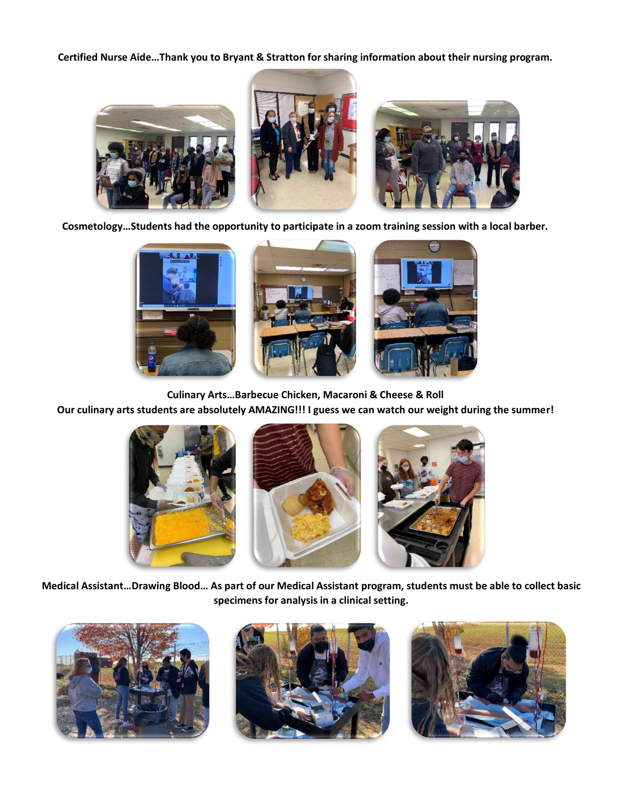**Certified Nurse Aide…Thank you to Bryant & Stratton for sharing information about their nursing program.**



**Cosmetology…Students had the opportunity to participate in a zoom training session with a local barber.** 



**Culinary Arts…Barbecue Chicken, Macaroni & Cheese & Roll**

**Our culinary arts students are absolutely AMAZING!!! I guess we can watch our weight during the summer!**



**Medical Assistant…Drawing Blood… As part of our Medical Assistant program, students must be able to collect basic specimens for analysis in a clinical setting.**